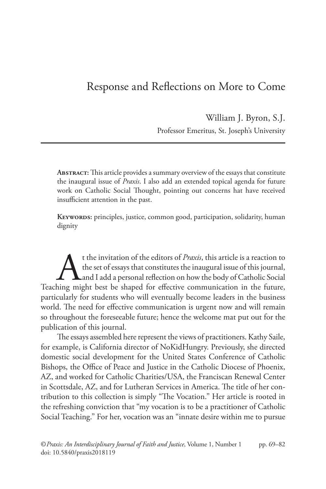# Response and Reflections on More to Come

William J. Byron, S.J. Professor Emeritus, St. Joseph's University

**Abstract:** This article provides a summary overview of the essays that constitute the inaugural issue of *Praxis*. I also add an extended topical agenda for future work on Catholic Social Thought, pointing out concerns hat have received insufficient attention in the past.

**Keywords:** principles, justice, common good, participation, solidarity, human dignity

t the invitation of the editors of *Praxis*, this article is a reaction to the set of essays that constitutes the inaugural issue of this journal, and I add a personal reflection on how the body of Catholic Social ining mi the set of essays that constitutes the inaugural issue of this journal, and I add a personal reflection on how the body of Catholic Social Teaching might best be shaped for effective communication in the future, particularly for students who will eventually become leaders in the business world. The need for effective communication is urgent now and will remain so throughout the foreseeable future; hence the welcome mat put out for the publication of this journal.

The essays assembled here represent the views of practitioners. Kathy Saile, for example, is California director of NoKidHungry. Previously, she directed domestic social development for the United States Conference of Catholic Bishops, the Office of Peace and Justice in the Catholic Diocese of Phoenix, AZ, and worked for Catholic Charities/USA, the Franciscan Renewal Center in Scottsdale, AZ, and for Lutheran Services in America. The title of her contribution to this collection is simply "The Vocation." Her article is rooted in the refreshing conviction that "my vocation is to be a practitioner of Catholic Social Teaching." For her, vocation was an "innate desire within me to pursue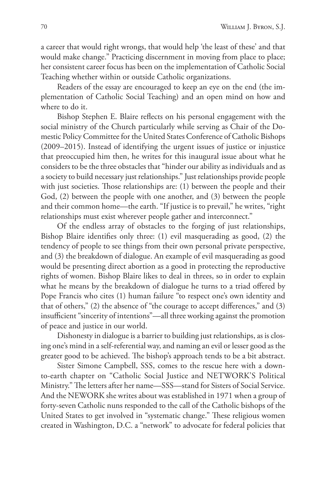a career that would right wrongs, that would help 'the least of these' and that would make change." Practicing discernment in moving from place to place; her consistent career focus has been on the implementation of Catholic Social Teaching whether within or outside Catholic organizations.

Readers of the essay are encouraged to keep an eye on the end (the implementation of Catholic Social Teaching) and an open mind on how and where to do it.

Bishop Stephen E. Blaire reflects on his personal engagement with the social ministry of the Church particularly while serving as Chair of the Domestic Policy Committee for the United States Conference of Catholic Bishops (2009–2015). Instead of identifying the urgent issues of justice or injustice that preoccupied him then, he writes for this inaugural issue about what he considers to be the three obstacles that "hinder our ability as individuals and as a society to build necessary just relationships." Just relationships provide people with just societies. Those relationships are: (1) between the people and their God, (2) between the people with one another, and (3) between the people and their common home—the earth. "If justice is to prevail," he writes, "right relationships must exist wherever people gather and interconnect."

Of the endless array of obstacles to the forging of just relationships, Bishop Blaire identifies only three: (1) evil masquerading as good, (2) the tendency of people to see things from their own personal private perspective, and (3) the breakdown of dialogue. An example of evil masquerading as good would be presenting direct abortion as a good in protecting the reproductive rights of women. Bishop Blaire likes to deal in threes, so in order to explain what he means by the breakdown of dialogue he turns to a triad offered by Pope Francis who cites (1) human failure "to respect one's own identity and that of others," (2) the absence of "the courage to accept differences," and (3) insufficient "sincerity of intentions"—all three working against the promotion of peace and justice in our world.

Dishonesty in dialogue is a barrier to building just relationships, as is closing one's mind in a self-referential way, and naming an evil or lesser good as the greater good to be achieved. The bishop's approach tends to be a bit abstract.

Sister Simone Campbell, SSS, comes to the rescue here with a downto-earth chapter on "Catholic Social Justice and NETWORK'S Political Ministry." The letters after her name—SSS—stand for Sisters of Social Service. And the NEWORK she writes about was established in 1971 when a group of forty-seven Catholic nuns responded to the call of the Catholic bishops of the United States to get involved in "systematic change." These religious women created in Washington, D.C. a "network" to advocate for federal policies that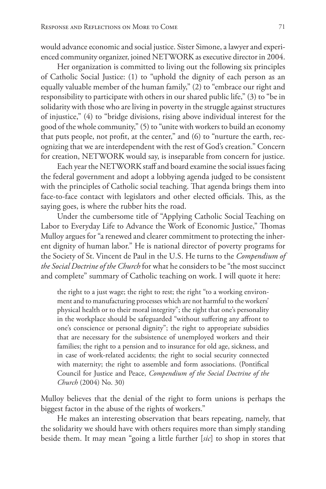would advance economic and social justice. Sister Simone, a lawyer and experienced community organizer, joined NETWORK as executive director in 2004.

Her organization is committed to living out the following six principles of Catholic Social Justice: (1) to "uphold the dignity of each person as an equally valuable member of the human family," (2) to "embrace our right and responsibility to participate with others in our shared public life," (3) to "be in solidarity with those who are living in poverty in the struggle against structures of injustice," (4) to "bridge divisions, rising above individual interest for the good of the whole community," (5) to "unite with workers to build an economy that puts people, not profit, at the center," and (6) to "nurture the earth, recognizing that we are interdependent with the rest of God's creation." Concern for creation, NETWORK would say, is inseparable from concern for justice.

Each year the NETWORK staff and board examine the social issues facing the federal government and adopt a lobbying agenda judged to be consistent with the principles of Catholic social teaching. That agenda brings them into face-to-face contact with legislators and other elected officials. This, as the saying goes, is where the rubber hits the road.

Under the cumbersome title of "Applying Catholic Social Teaching on Labor to Everyday Life to Advance the Work of Economic Justice," Thomas Mulloy argues for "a renewed and clearer commitment to protecting the inherent dignity of human labor." He is national director of poverty programs for the Society of St. Vincent de Paul in the U.S. He turns to the *Compendium of the Social Doctrine of the Church* for what he considers to be "the most succinct and complete" summary of Catholic teaching on work. I will quote it here:

the right to a just wage; the right to rest; the right "to a working environment and to manufacturing processes which are not harmful to the workers' physical health or to their moral integrity"; the right that one's personality in the workplace should be safeguarded "without suffering any affront to one's conscience or personal dignity"; the right to appropriate subsidies that are necessary for the subsistence of unemployed workers and their families; the right to a pension and to insurance for old age, sickness, and in case of work-related accidents; the right to social security connected with maternity; the right to assemble and form associations. (Pontifical Council for Justice and Peace, *Compendium of the Social Doctrine of the Church* (2004) No. 30)

Mulloy believes that the denial of the right to form unions is perhaps the biggest factor in the abuse of the rights of workers."

He makes an interesting observation that bears repeating, namely, that the solidarity we should have with others requires more than simply standing beside them. It may mean "going a little further [*sic*] to shop in stores that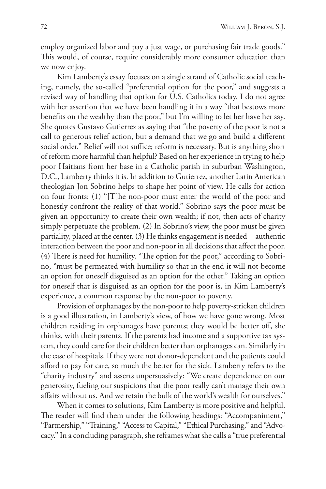employ organized labor and pay a just wage, or purchasing fair trade goods." This would, of course, require considerably more consumer education than we now enjoy.

Kim Lamberty's essay focuses on a single strand of Catholic social teaching, namely, the so-called "preferential option for the poor," and suggests a revised way of handling that option for U.S. Catholics today. I do not agree with her assertion that we have been handling it in a way "that bestows more benefits on the wealthy than the poor," but I'm willing to let her have her say. She quotes Gustavo Gutierrez as saying that "the poverty of the poor is not a call to generous relief action, but a demand that we go and build a different social order." Relief will not suffice; reform is necessary. But is anything short of reform more harmful than helpful? Based on her experience in trying to help poor Haitians from her base in a Catholic parish in suburban Washington, D.C., Lamberty thinks it is. In addition to Gutierrez, another Latin American theologian Jon Sobrino helps to shape her point of view. He calls for action on four fronts: (1) "[T]he non-poor must enter the world of the poor and honestly confront the reality of that world." Sobrino says the poor must be given an opportunity to create their own wealth; if not, then acts of charity simply perpetuate the problem. (2) In Sobrino's view, the poor must be given partiality, placed at the center. (3) He thinks engagement is needed—authentic interaction between the poor and non-poor in all decisions that affect the poor. (4) There is need for humility. "The option for the poor," according to Sobrino, "must be permeated with humility so that in the end it will not become an option for oneself disguised as an option for the other." Taking an option for oneself that is disguised as an option for the poor is, in Kim Lamberty's experience, a common response by the non-poor to poverty.

Provision of orphanages by the non-poor to help poverty-stricken children is a good illustration, in Lamberty's view, of how we have gone wrong. Most children residing in orphanages have parents; they would be better off, she thinks, with their parents. If the parents had income and a supportive tax system, they could care for their children better than orphanages can. Similarly in the case of hospitals. If they were not donor-dependent and the patients could afford to pay for care, so much the better for the sick. Lamberty refers to the "charity industry" and asserts unpersuasively: "We create dependence on our generosity, fueling our suspicions that the poor really can't manage their own affairs without us. And we retain the bulk of the world's wealth for ourselves."

When it comes to solutions, Kim Lamberty is more positive and helpful. The reader will find them under the following headings: "Accompaniment," "Partnership," "Training," "Access to Capital," "Ethical Purchasing," and "Advocacy." In a concluding paragraph, she reframes what she calls a "true preferential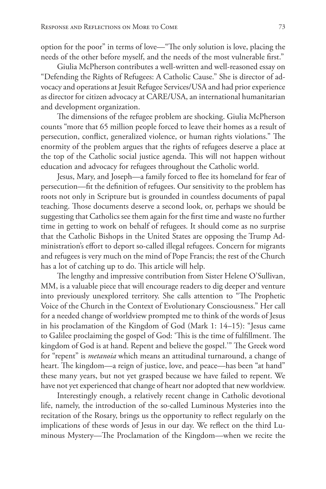option for the poor" in terms of love—"The only solution is love, placing the needs of the other before myself, and the needs of the most vulnerable first."

Giulia McPherson contributes a well-written and well-reasoned essay on "Defending the Rights of Refugees: A Catholic Cause." She is director of advocacy and operations at Jesuit Refugee Services/USA and had prior experience as director for citizen advocacy at CARE/USA, an international humanitarian and development organization.

The dimensions of the refugee problem are shocking. Giulia McPherson counts "more that 65 million people forced to leave their homes as a result of persecution, conflict, generalized violence, or human rights violations." The enormity of the problem argues that the rights of refugees deserve a place at the top of the Catholic social justice agenda. This will not happen without education and advocacy for refugees throughout the Catholic world.

Jesus, Mary, and Joseph—a family forced to flee its homeland for fear of persecution—fit the definition of refugees. Our sensitivity to the problem has roots not only in Scripture but is grounded in countless documents of papal teaching. Those documents deserve a second look, or, perhaps we should be suggesting that Catholics see them again for the first time and waste no further time in getting to work on behalf of refugees. It should come as no surprise that the Catholic Bishops in the United States are opposing the Trump Administration's effort to deport so-called illegal refugees. Concern for migrants and refugees is very much on the mind of Pope Francis; the rest of the Church has a lot of catching up to do. This article will help.

The lengthy and impressive contribution from Sister Helene O'Sullivan, MM, is a valuable piece that will encourage readers to dig deeper and venture into previously unexplored territory. She calls attention to "The Prophetic Voice of the Church in the Context of Evolutionary Consciousness." Her call for a needed change of worldview prompted me to think of the words of Jesus in his proclamation of the Kingdom of God (Mark 1: 14–15): "Jesus came to Galilee proclaiming the gospel of God: 'This is the time of fulfillment. The kingdom of God is at hand. Repent and believe the gospel.'" The Greek word for "repent" is *metanoia* which means an attitudinal turnaround, a change of heart. The kingdom—a reign of justice, love, and peace—has been "at hand" these many years, but not yet grasped because we have failed to repent. We have not yet experienced that change of heart nor adopted that new worldview.

Interestingly enough, a relatively recent change in Catholic devotional life, namely, the introduction of the so-called Luminous Mysteries into the recitation of the Rosary, brings us the opportunity to reflect regularly on the implications of these words of Jesus in our day. We reflect on the third Luminous Mystery—The Proclamation of the Kingdom—when we recite the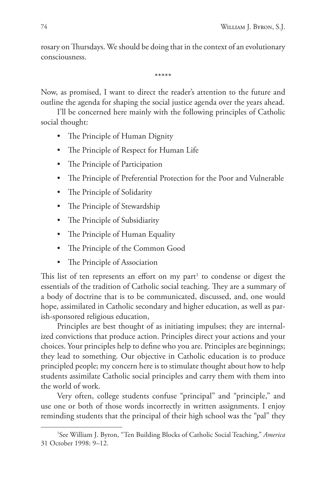rosary on Thursdays. We should be doing that in the context of an evolutionary consciousness.

\*\*\*\*\*

Now, as promised, I want to direct the reader's attention to the future and outline the agenda for shaping the social justice agenda over the years ahead.

I'll be concerned here mainly with the following principles of Catholic social thought:

- The Principle of Human Dignity
- The Principle of Respect for Human Life
- The Principle of Participation
- The Principle of Preferential Protection for the Poor and Vulnerable
- The Principle of Solidarity
- The Principle of Stewardship
- The Principle of Subsidiarity
- The Principle of Human Equality
- The Principle of the Common Good
- The Principle of Association

This list of ten represents an effort on my part<sup>1</sup> to condense or digest the essentials of the tradition of Catholic social teaching. They are a summary of a body of doctrine that is to be communicated, discussed, and, one would hope, assimilated in Catholic secondary and higher education, as well as parish-sponsored religious education,

Principles are best thought of as initiating impulses; they are internalized convictions that produce action. Principles direct your actions and your choices. Your principles help to define who you are. Principles are beginnings; they lead to something. Our objective in Catholic education is to produce principled people; my concern here is to stimulate thought about how to help students assimilate Catholic social principles and carry them with them into the world of work.

Very often, college students confuse "principal" and "principle," and use one or both of those words incorrectly in written assignments. I enjoy reminding students that the principal of their high school was the "pal" they

<sup>1</sup> See William J. Byron, "Ten Building Blocks of Catholic Social Teaching," *America* 31 October 1998: 9–12.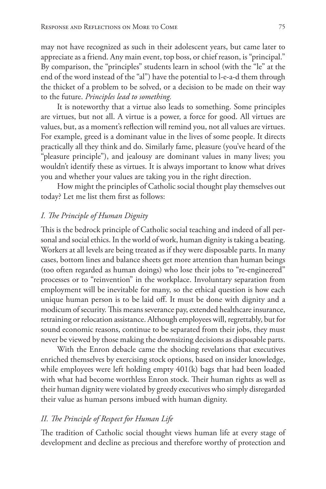may not have recognized as such in their adolescent years, but came later to appreciate as a friend. Any main event, top boss, or chief reason, is "principal." By comparison, the "principles" students learn in school (with the "le" at the end of the word instead of the "al") have the potential to l-e-a-d them through the thicket of a problem to be solved, or a decision to be made on their way to the future. *Principles lead to something.*

It is noteworthy that a virtue also leads to something. Some principles are virtues, but not all. A virtue is a power, a force for good. All virtues are values, but, as a moment's reflection will remind you, not all values are virtues. For example, greed is a dominant value in the lives of some people. It directs practically all they think and do. Similarly fame, pleasure (you've heard of the "pleasure principle"), and jealousy are dominant values in many lives; you wouldn't identify these as virtues. It is always important to know what drives you and whether your values are taking you in the right direction.

How might the principles of Catholic social thought play themselves out today? Let me list them first as follows:

## *I. The Principle of Human Dignity*

This is the bedrock principle of Catholic social teaching and indeed of all personal and social ethics. In the world of work, human dignity is taking a beating. Workers at all levels are being treated as if they were disposable parts. In many cases, bottom lines and balance sheets get more attention than human beings (too often regarded as human doings) who lose their jobs to "re-engineered" processes or to "reinvention" in the workplace. Involuntary separation from employment will be inevitable for many, so the ethical question is how each unique human person is to be laid off. It must be done with dignity and a modicum of security. This means severance pay, extended healthcare insurance, retraining or relocation assistance. Although employees will, regrettably, but for sound economic reasons, continue to be separated from their jobs, they must never be viewed by those making the downsizing decisions as disposable parts.

With the Enron debacle came the shocking revelations that executives enriched themselves by exercising stock options, based on insider knowledge, while employees were left holding empty 401(k) bags that had been loaded with what had become worthless Enron stock. Their human rights as well as their human dignity were violated by greedy executives who simply disregarded their value as human persons imbued with human dignity.

#### *II. The Principle of Respect for Human Life*

The tradition of Catholic social thought views human life at every stage of development and decline as precious and therefore worthy of protection and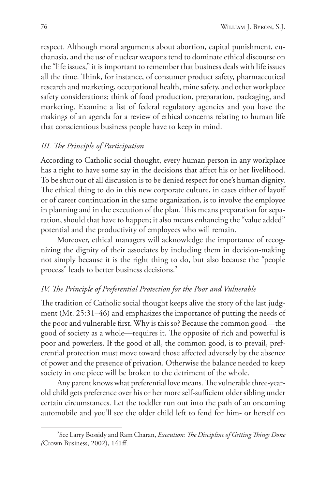respect. Although moral arguments about abortion, capital punishment, euthanasia, and the use of nuclear weapons tend to dominate ethical discourse on the "life issues," it is important to remember that business deals with life issues all the time. Think, for instance, of consumer product safety, pharmaceutical research and marketing, occupational health, mine safety, and other workplace safety considerations; think of food production, preparation, packaging, and marketing. Examine a list of federal regulatory agencies and you have the makings of an agenda for a review of ethical concerns relating to human life that conscientious business people have to keep in mind.

## *III. The Principle of Participation*

According to Catholic social thought, every human person in any workplace has a right to have some say in the decisions that affect his or her livelihood. To be shut out of all discussion is to be denied respect for one's human dignity. The ethical thing to do in this new corporate culture, in cases either of layoff or of career continuation in the same organization, is to involve the employee in planning and in the execution of the plan. This means preparation for separation, should that have to happen; it also means enhancing the "value added" potential and the productivity of employees who will remain.

Moreover, ethical managers will acknowledge the importance of recognizing the dignity of their associates by including them in decision-making not simply because it is the right thing to do, but also because the "people process" leads to better business decisions.2

## *IV. The Principle of Preferential Protection for the Poor and Vulnerable*

The tradition of Catholic social thought keeps alive the story of the last judgment (Mt. 25:31–46) and emphasizes the importance of putting the needs of the poor and vulnerable first. Why is this so? Because the common good—the good of society as a whole—requires it. The opposite of rich and powerful is poor and powerless. If the good of all, the common good, is to prevail, preferential protection must move toward those affected adversely by the absence of power and the presence of privation. Otherwise the balance needed to keep society in one piece will be broken to the detriment of the whole.

Any parent knows what preferential love means. The vulnerable three-yearold child gets preference over his or her more self-sufficient older sibling under certain circumstances. Let the toddler run out into the path of an oncoming automobile and you'll see the older child left to fend for him- or herself on

<sup>2</sup> See Larry Bossidy and Ram Charan, *Execution: The Discipline of Getting Things Done (*Crown Business, 2002), 141ff.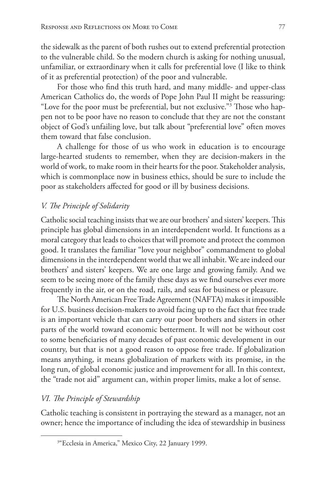the sidewalk as the parent of both rushes out to extend preferential protection to the vulnerable child. So the modern church is asking for nothing unusual, unfamiliar, or extraordinary when it calls for preferential love (I like to think of it as preferential protection) of the poor and vulnerable.

For those who find this truth hard, and many middle- and upper-class American Catholics do, the words of Pope John Paul II might be reassuring: "Love for the poor must be preferential, but not exclusive."3 Those who happen not to be poor have no reason to conclude that they are not the constant object of God's unfailing love, but talk about "preferential love" often moves them toward that false conclusion.

A challenge for those of us who work in education is to encourage large-hearted students to remember, when they are decision-makers in the world of work, to make room in their hearts for the poor. Stakeholder analysis, which is commonplace now in business ethics, should be sure to include the poor as stakeholders affected for good or ill by business decisions.

#### *V. The Principle of Solidarity*

Catholic social teaching insists that we are our brothers' and sisters' keepers. This principle has global dimensions in an interdependent world. It functions as a moral category that leads to choices that will promote and protect the common good. It translates the familiar "love your neighbor" commandment to global dimensions in the interdependent world that we all inhabit. We are indeed our brothers' and sisters' keepers. We are one large and growing family. And we seem to be seeing more of the family these days as we find ourselves ever more frequently in the air, or on the road, rails, and seas for business or pleasure.

The North American Free Trade Agreement (NAFTA) makes it impossible for U.S. business decision-makers to avoid facing up to the fact that free trade is an important vehicle that can carry our poor brothers and sisters in other parts of the world toward economic betterment. It will not be without cost to some beneficiaries of many decades of past economic development in our country, but that is not a good reason to oppose free trade. If globalization means anything, it means globalization of markets with its promise, in the long run, of global economic justice and improvement for all. In this context, the "trade not aid" argument can, within proper limits, make a lot of sense.

## *VI. The Principle of Stewardship*

Catholic teaching is consistent in portraying the steward as a manager, not an owner; hence the importance of including the idea of stewardship in business

<sup>3</sup> "Ecclesia in America," Mexico City, 22 January 1999.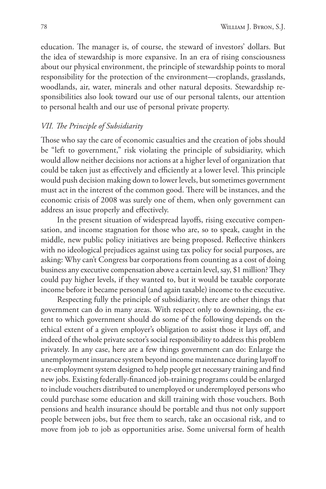education. The manager is, of course, the steward of investors' dollars. But the idea of stewardship is more expansive. In an era of rising consciousness about our physical environment, the principle of stewardship points to moral responsibility for the protection of the environment—croplands, grasslands, woodlands, air, water, minerals and other natural deposits. Stewardship responsibilities also look toward our use of our personal talents, our attention to personal health and our use of personal private property.

# *VII. The Principle of Subsidiarity*

Those who say the care of economic casualties and the creation of jobs should be "left to government," risk violating the principle of subsidiarity, which would allow neither decisions nor actions at a higher level of organization that could be taken just as effectively and efficiently at a lower level. This principle would push decision making down to lower levels, but sometimes government must act in the interest of the common good. There will be instances, and the economic crisis of 2008 was surely one of them, when only government can address an issue properly and effectively.

In the present situation of widespread layoffs, rising executive compensation, and income stagnation for those who are, so to speak, caught in the middle, new public policy initiatives are being proposed. Reflective thinkers with no ideological prejudices against using tax policy for social purposes, are asking: Why can't Congress bar corporations from counting as a cost of doing business any executive compensation above a certain level, say, \$1 million? They could pay higher levels, if they wanted to, but it would be taxable corporate income before it became personal (and again taxable) income to the executive.

Respecting fully the principle of subsidiarity, there are other things that government can do in many areas. With respect only to downsizing, the extent to which government should do some of the following depends on the ethical extent of a given employer's obligation to assist those it lays off, and indeed of the whole private sector's social responsibility to address this problem privately. In any case, here are a few things government can do: Enlarge the unemployment insurance system beyond income maintenance during layoff to a re-employment system designed to help people get necessary training and find new jobs. Existing federally-financed job-training programs could be enlarged to include vouchers distributed to unemployed or underemployed persons who could purchase some education and skill training with those vouchers. Both pensions and health insurance should be portable and thus not only support people between jobs, but free them to search, take an occasional risk, and to move from job to job as opportunities arise. Some universal form of health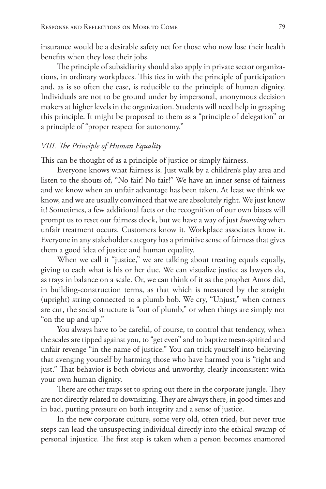insurance would be a desirable safety net for those who now lose their health benefits when they lose their jobs.

The principle of subsidiarity should also apply in private sector organizations, in ordinary workplaces. This ties in with the principle of participation and, as is so often the case, is reducible to the principle of human dignity. Individuals are not to be ground under by impersonal, anonymous decision makers at higher levels in the organization. Students will need help in grasping this principle. It might be proposed to them as a "principle of delegation" or a principle of "proper respect for autonomy."

#### *VIII. The Principle of Human Equality*

This can be thought of as a principle of justice or simply fairness.

Everyone knows what fairness is. Just walk by a children's play area and listen to the shouts of, "No fair! No fair!" We have an inner sense of fairness and we know when an unfair advantage has been taken. At least we think we know, and we are usually convinced that we are absolutely right. We just know it! Sometimes, a few additional facts or the recognition of our own biases will prompt us to reset our fairness clock, but we have a way of just *knowing* when unfair treatment occurs. Customers know it. Workplace associates know it. Everyone in any stakeholder category has a primitive sense of fairness that gives them a good idea of justice and human equality.

When we call it "justice," we are talking about treating equals equally, giving to each what is his or her due. We can visualize justice as lawyers do, as trays in balance on a scale. Or, we can think of it as the prophet Amos did, in building-construction terms, as that which is measured by the straight (upright) string connected to a plumb bob. We cry, "Unjust," when corners are cut, the social structure is "out of plumb," or when things are simply not "on the up and up."

You always have to be careful, of course, to control that tendency, when the scales are tipped against you, to "get even" and to baptize mean-spirited and unfair revenge "in the name of justice." You can trick yourself into believing that avenging yourself by harming those who have harmed you is "right and just." That behavior is both obvious and unworthy, clearly inconsistent with your own human dignity.

There are other traps set to spring out there in the corporate jungle. They are not directly related to downsizing. They are always there, in good times and in bad, putting pressure on both integrity and a sense of justice.

In the new corporate culture, some very old, often tried, but never true steps can lead the unsuspecting individual directly into the ethical swamp of personal injustice. The first step is taken when a person becomes enamored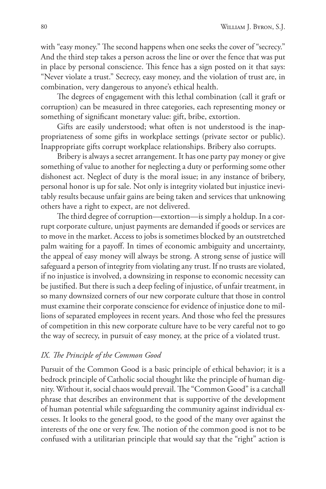with "easy money." The second happens when one seeks the cover of "secrecy." And the third step takes a person across the line or over the fence that was put in place by personal conscience. This fence has a sign posted on it that says: "Never violate a trust." Secrecy, easy money, and the violation of trust are, in combination, very dangerous to anyone's ethical health.

The degrees of engagement with this lethal combination (call it graft or corruption) can be measured in three categories, each representing money or something of significant monetary value: gift, bribe, extortion.

Gifts are easily understood; what often is not understood is the inappropriateness of some gifts in workplace settings (private sector or public). Inappropriate gifts corrupt workplace relationships. Bribery also corrupts.

Bribery is always a secret arrangement. It has one party pay money or give something of value to another for neglecting a duty or performing some other dishonest act. Neglect of duty is the moral issue; in any instance of bribery, personal honor is up for sale. Not only is integrity violated but injustice inevitably results because unfair gains are being taken and services that unknowing others have a right to expect, are not delivered.

The third degree of corruption—extortion—is simply a holdup. In a corrupt corporate culture, unjust payments are demanded if goods or services are to move in the market. Access to jobs is sometimes blocked by an outstretched palm waiting for a payoff. In times of economic ambiguity and uncertainty, the appeal of easy money will always be strong. A strong sense of justice will safeguard a person of integrity from violating any trust. If no trusts are violated, if no injustice is involved, a downsizing in response to economic necessity can be justified. But there is such a deep feeling of injustice, of unfair treatment, in so many downsized corners of our new corporate culture that those in control must examine their corporate conscience for evidence of injustice done to millions of separated employees in recent years. And those who feel the pressures of competition in this new corporate culture have to be very careful not to go the way of secrecy, in pursuit of easy money, at the price of a violated trust.

# *IX. The Principle of the Common Good*

Pursuit of the Common Good is a basic principle of ethical behavior; it is a bedrock principle of Catholic social thought like the principle of human dignity. Without it, social chaos would prevail. The "Common Good" is a catchall phrase that describes an environment that is supportive of the development of human potential while safeguarding the community against individual excesses. It looks to the general good, to the good of the many over against the interests of the one or very few. The notion of the common good is not to be confused with a utilitarian principle that would say that the "right" action is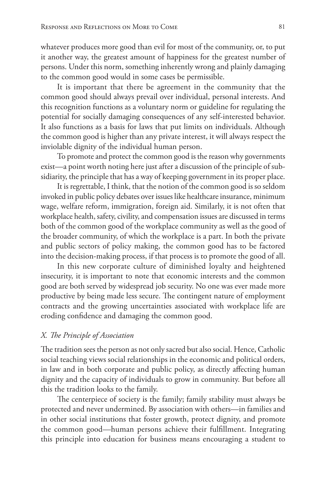whatever produces more good than evil for most of the community, or, to put it another way, the greatest amount of happiness for the greatest number of persons. Under this norm, something inherently wrong and plainly damaging to the common good would in some cases be permissible.

It is important that there be agreement in the community that the common good should always prevail over individual, personal interests. And this recognition functions as a voluntary norm or guideline for regulating the potential for socially damaging consequences of any self-interested behavior. It also functions as a basis for laws that put limits on individuals. Although the common good is higher than any private interest, it will always respect the inviolable dignity of the individual human person.

To promote and protect the common good is the reason why governments exist—a point worth noting here just after a discussion of the principle of subsidiarity, the principle that has a way of keeping government in its proper place.

It is regrettable, I think, that the notion of the common good is so seldom invoked in public policy debates over issues like healthcare insurance, minimum wage, welfare reform, immigration, foreign aid. Similarly, it is not often that workplace health, safety, civility, and compensation issues are discussed in terms both of the common good of the workplace community as well as the good of the broader community, of which the workplace is a part. In both the private and public sectors of policy making, the common good has to be factored into the decision-making process, if that process is to promote the good of all.

In this new corporate culture of diminished loyalty and heightened insecurity, it is important to note that economic interests and the common good are both served by widespread job security. No one was ever made more productive by being made less secure. The contingent nature of employment contracts and the growing uncertainties associated with workplace life are eroding confidence and damaging the common good.

## *X. The Principle of Association*

The tradition sees the person as not only sacred but also social. Hence, Catholic social teaching views social relationships in the economic and political orders, in law and in both corporate and public policy, as directly affecting human dignity and the capacity of individuals to grow in community. But before all this the tradition looks to the family.

The centerpiece of society is the family; family stability must always be protected and never undermined. By association with others—in families and in other social institutions that foster growth, protect dignity, and promote the common good—human persons achieve their fulfillment. Integrating this principle into education for business means encouraging a student to